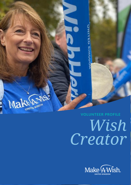Make Disposed **VOLUNTEER PROFILE**

# *Wish Creator*

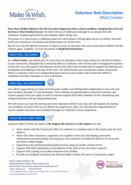

**More than 60,000 children in the UK have been diagnosed with a critical condition, changing their lives and the lives of their families forever.** For them, the joy of childhood is brought to an abrupt end, with treatment, hospital appointments and sleepless nights taking over.

The power of a wish revives a childhood stolen by critical illness. It brings light and joy to children and their loved ones and leaves a profound and lasting impact on all their lives.

But we can't be that light for everyone. It takes an army of volunteers like you to help these children feel like children again. Together, we have the power to **#LightUpTheDarkness.**

## **WHAT WILL I BE DOING?**



As a **Wish Creator**, you will be part of a local team of volunteers who create wishes for critically ill children in your community. Alongside the Community Wish Co-ordinator, who will be project managing the creation of the wish, you will support with elements of the wish which may include tasks to support the planning and anticipation and helping on the day of the wish. You will be led by your Community Leader, Community Wish Co-ordinator and/or our wishgranting team and may work closely with Community Wish Coordinators and other volunteers in your community.

#### **HOW WILL I BE SUPPORTED?**



You will be supported by our team of Community Leader's and Wishgranters (dependent on the wish and your location), through 1-1 communication. There will also be opportunities to share best practice and receive support from your peers as well as relevant support from other members of the volunteering and wishgranting team and our Safeguarding Lead.

We will ensure you have the training and tools required to deliver your role and will regularly be seeking your feedback to ensure that we can deliver the support you need. You will also have opportunities to receive updates and share your feedback through our Volunteer Voices programme.

#### **WHAT ARE MY CORE TASKS?**

Using the Make-A-Wish UK values of **Be Magical**, **Be Inclusive** and **Be Inspired** you will:

- Work closely with the Community Wish Co-ordinator to complete tasks in the project plan for wish delivery
- Work with other volunteers, supporters and suppliers in the area; developing community relationships and partnerships and using your own networks to enable the delivery of community led wishes within budget
- Supporting with seeking donated goods/services using our quality control checks
- Support with both anticipation of and delivery of the wish on the day where required
- Support with creating an excellent experience for families
- Provide any feedback needed by the National Make-A-Wish UK team or Community Leader

Make-A-Wish Foundation® UK **Registered Address: Make-A-Wish Foundation UK.** Seventh Floor, Thames Tower, Station Road, Reading RG1 1LX make-a-wish.org.uk 01276 40 50 60 Charity Registration No. (England and Wales) 295672 / (Scotland) SC037479 Company Registration No. 2031836

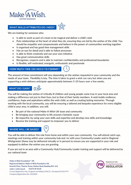

#### **WHAT SKILLS/ATTRIBUTES DO I NEED?**



We are looking for someone who:

- Is able to work as part of a team to be magical and deliver a child's wish
- Puts relationships at the heart of what they do; ensuring they are led by the wishes of the child. You should be empathic and compassionate and believe in the power of communities working together
- Is organised and has good time management skills
- Has an eye for detail and is able to follow processes
- Is able to think creatively and use your own initiative
- Has great communication skills
- Recognises, respects and is able to maintain confidentiality and professional boundaries
- Is flexible, self-motivated, energetic, enthusiastic and passionate

# HOW MUCH TIME DO I NEED TO COMMIT?



The amount of time commitment will vary depending on the wishes requested in your community and the needs of your team. Flexibility is key. The time it takes to grant a wish can vary but when you are supporting a wish delivery anticipate approximately between 5-10 hours over a few weeks.

# **WHAT DO I GAIN?**



You will be making the wishes of critically ill children and young people come true in your local area and making a difference not just to their lives, but to that of their family members. A wish builds resilience, confidence, hope and aspirations within the wish child, as well as creating lasting memories. Through working with the local community, you will be ensuring a tailored and bespoke experience for every eligible child in your area. In addition, you will:

- Be part of the national Make-A-Wish UK team and community
- Be bringing your community to life around a fantastic cause
- Be impactful, by using your own skills and expertise and develop new skills and knowledge
- Receive the training and support to empower you to deliver

## **WHERE WILL I BE BASED?**

You will be able to deliver this role from home and within your own community. You will attend catch-ups, meetings and training within your community hub and /or with your Community Leader and/or Regional Wishgranter (these may be delivered virtually or in person) to ensure you are supported in your role and equipped to deliver the wishes you are granting.

If you are not in an area with a Community Hub/Community Leader training and support will be delivered by our national team

Make-A-Wish Foundation® UK **Registered Address: Make-A-Wish Foundation UK.** Seventh Floor, Thames Tower, Station Road, Reading RG1 1LX make-a-wish.org.uk 01276 40 50 60 Charity Registration No. (England and Wales) 295672 / (Scotland) SC037479 Company Registration No. 2031836